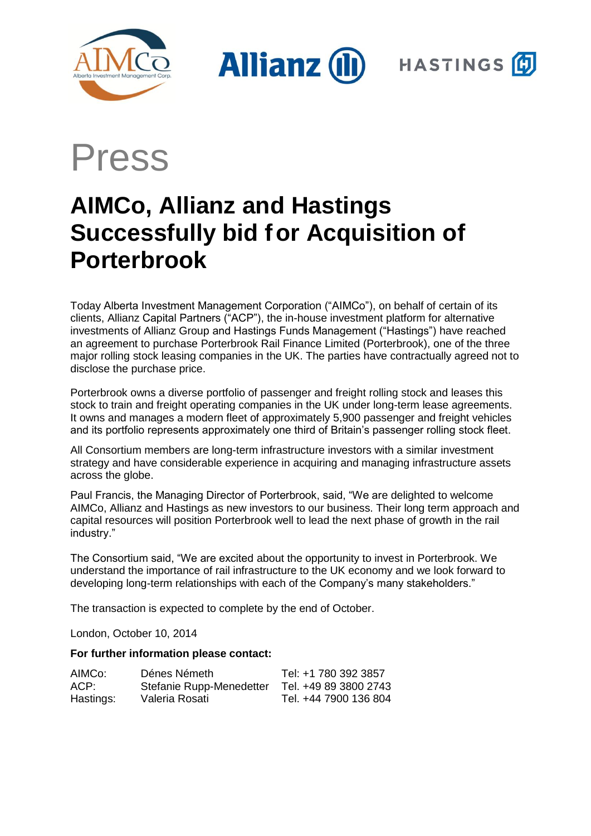

**Allianz (II** 



Press

# **AIMCo, Allianz and Hastings Successfully bid for Acquisition of Porterbrook**

Today Alberta Investment Management Corporation ("AIMCo"), on behalf of certain of its clients, Allianz Capital Partners ("ACP"), the in-house investment platform for alternative investments of Allianz Group and Hastings Funds Management ("Hastings") have reached an agreement to purchase Porterbrook Rail Finance Limited (Porterbrook), one of the three major rolling stock leasing companies in the UK. The parties have contractually agreed not to disclose the purchase price.

Porterbrook owns a diverse portfolio of passenger and freight rolling stock and leases this stock to train and freight operating companies in the UK under long-term lease agreements. It owns and manages a modern fleet of approximately 5,900 passenger and freight vehicles and its portfolio represents approximately one third of Britain's passenger rolling stock fleet.

All Consortium members are long-term infrastructure investors with a similar investment strategy and have considerable experience in acquiring and managing infrastructure assets across the globe.

Paul Francis, the Managing Director of Porterbrook, said, "We are delighted to welcome AIMCo, Allianz and Hastings as new investors to our business. Their long term approach and capital resources will position Porterbrook well to lead the next phase of growth in the rail industry."

The Consortium said, "We are excited about the opportunity to invest in Porterbrook. We understand the importance of rail infrastructure to the UK economy and we look forward to developing long-term relationships with each of the Company's many stakeholders."

The transaction is expected to complete by the end of October.

London, October 10, 2014

## **For further information please contact:**

| AIMCo:    | Dénes Németh             | Tel: +1 780 392 3857  |
|-----------|--------------------------|-----------------------|
| ACP:      | Stefanie Rupp-Menedetter | Tel. +49 89 3800 2743 |
| Hastings: | Valeria Rosati           | Tel. +44 7900 136 804 |